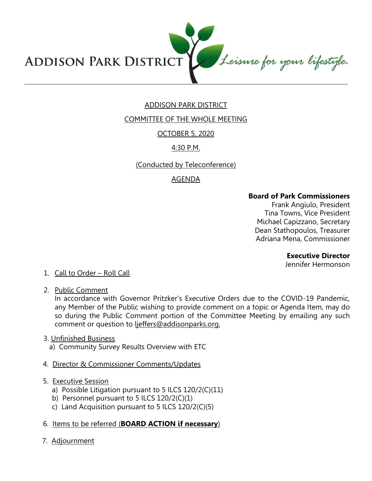Leisure for your lifestyle. **ADDISON PARK DISTRICT** 

# ADDISON PARK DISTRICT

COMMITTEE OF THE WHOLE MEETING

## OCTOBER 5, 2020

## 4:30 P.M.

## (Conducted by Teleconference)

# AGENDA

### **Board of Park Commissioners**

Frank Angiulo, President Tina Towns, Vice President Michael Capizzano, Secretary Dean Stathopoulos, Treasurer Adriana Mena, Commissioner

### **Executive Director**

Jennifer Hermonson

## 1. Call to Order – Roll Call

2. Public Comment

In accordance with Governor Pritzker's Executive Orders due to the COVID-19 Pandemic, any Member of the Public wishing to provide comment on a topic or Agenda Item, may do so during the Public Comment portion of the Committee Meeting by emailing any such comment or question to ljeffers@addisonparks.org.

### 3. Unfinished Business

- a) Community Survey Results Overview with ETC
- 4. Director & Commissioner Comments/Updates
- 5. Executive Session
	- a) Possible Litigation pursuant to 5 ILCS 120/2(C)(11)
	- b) Personnel pursuant to 5 ILCS 120/2(C)(1)
	- c) Land Acquisition pursuant to 5 ILCS 120/2(C)(5)

## 6. Items to be referred (**BOARD ACTION if necessary**)

7. Adjournment